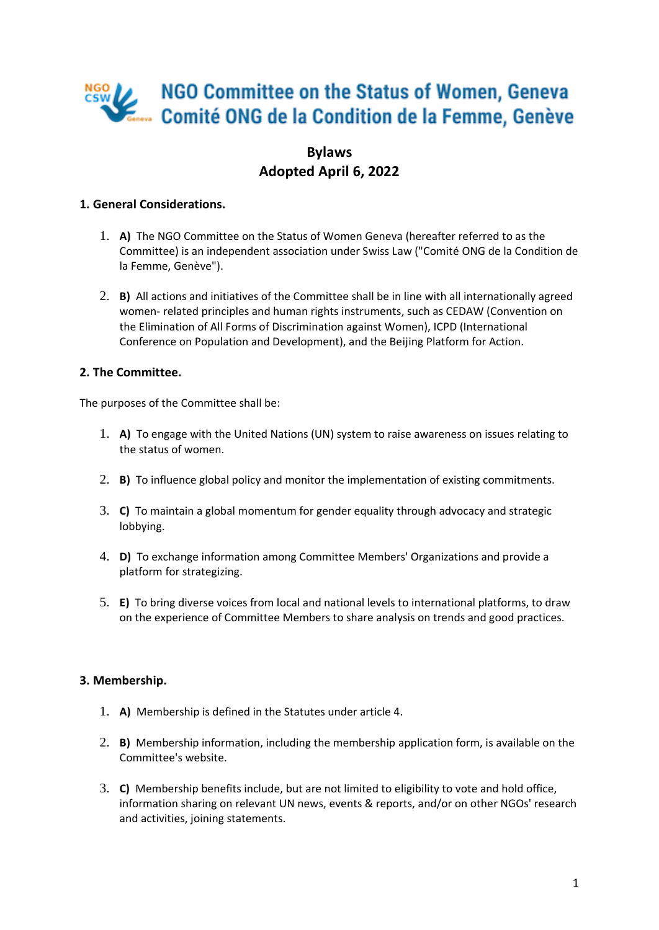# NGO Committee on the Status of Women, Geneva Comité ONG de la Condition de la Femme, Genève

## **Bylaws Adopted April 6, 2022**

## **1. General Considerations.**

- 1. **A)** The NGO Committee on the Status of Women Geneva (hereafter referred to as the Committee) is an independent association under Swiss Law ("Comité ONG de la Condition de la Femme, Genève").
- 2. **B)** All actions and initiatives of the Committee shall be in line with all internationally agreed women- related principles and human rights instruments, such as CEDAW (Convention on the Elimination of All Forms of Discrimination against Women), ICPD (International Conference on Population and Development), and the Beijing Platform for Action.

## **2. The Committee.**

The purposes of the Committee shall be:

- 1. **A)** To engage with the United Nations (UN) system to raise awareness on issues relating to the status of women.
- 2. **B)** To influence global policy and monitor the implementation of existing commitments.
- 3. **C)** To maintain a global momentum for gender equality through advocacy and strategic lobbying.
- 4. **D)** To exchange information among Committee Members' Organizations and provide a platform for strategizing.
- 5. **E)** To bring diverse voices from local and national levels to international platforms, to draw on the experience of Committee Members to share analysis on trends and good practices.

## **3. Membership.**

- 1. **A)** Membership is defined in the Statutes under article 4.
- 2. **B)** Membership information, including the membership application form, is available on the Committee's website.
- 3. **C)** Membership benefits include, but are not limited to eligibility to vote and hold office, information sharing on relevant UN news, events & reports, and/or on other NGOs' research and activities, joining statements.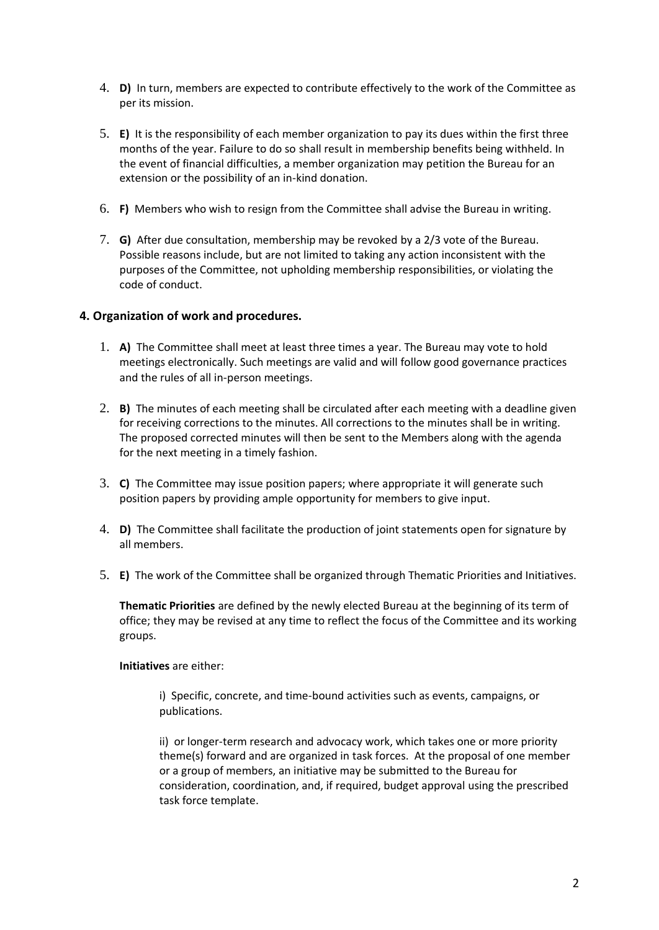- 4. **D)** In turn, members are expected to contribute effectively to the work of the Committee as per its mission.
- 5. **E)** It is the responsibility of each member organization to pay its dues within the first three months of the year. Failure to do so shall result in membership benefits being withheld. In the event of financial difficulties, a member organization may petition the Bureau for an extension or the possibility of an in-kind donation.
- 6. **F)** Members who wish to resign from the Committee shall advise the Bureau in writing.
- 7. **G)** After due consultation, membership may be revoked by a 2/3 vote of the Bureau. Possible reasons include, but are not limited to taking any action inconsistent with the purposes of the Committee, not upholding membership responsibilities, or violating the code of conduct.

#### **4. Organization of work and procedures.**

- 1. **A)** The Committee shall meet at least three times a year. The Bureau may vote to hold meetings electronically. Such meetings are valid and will follow good governance practices and the rules of all in-person meetings.
- 2. **B)** The minutes of each meeting shall be circulated after each meeting with a deadline given for receiving corrections to the minutes. All corrections to the minutes shall be in writing. The proposed corrected minutes will then be sent to the Members along with the agenda for the next meeting in a timely fashion.
- 3. **C)** The Committee may issue position papers; where appropriate it will generate such position papers by providing ample opportunity for members to give input.
- 4. **D)** The Committee shall facilitate the production of joint statements open for signature by all members.
- 5. **E)** The work of the Committee shall be organized through Thematic Priorities and Initiatives.

**Thematic Priorities** are defined by the newly elected Bureau at the beginning of its term of office; they may be revised at any time to reflect the focus of the Committee and its working groups.

#### **Initiatives** are either:

i) Specific, concrete, and time-bound activities such as events, campaigns, or publications.

ii) or longer-term research and advocacy work, which takes one or more priority theme(s) forward and are organized in task forces. At the proposal of one member or a group of members, an initiative may be submitted to the Bureau for consideration, coordination, and, if required, budget approval using the prescribed task force template.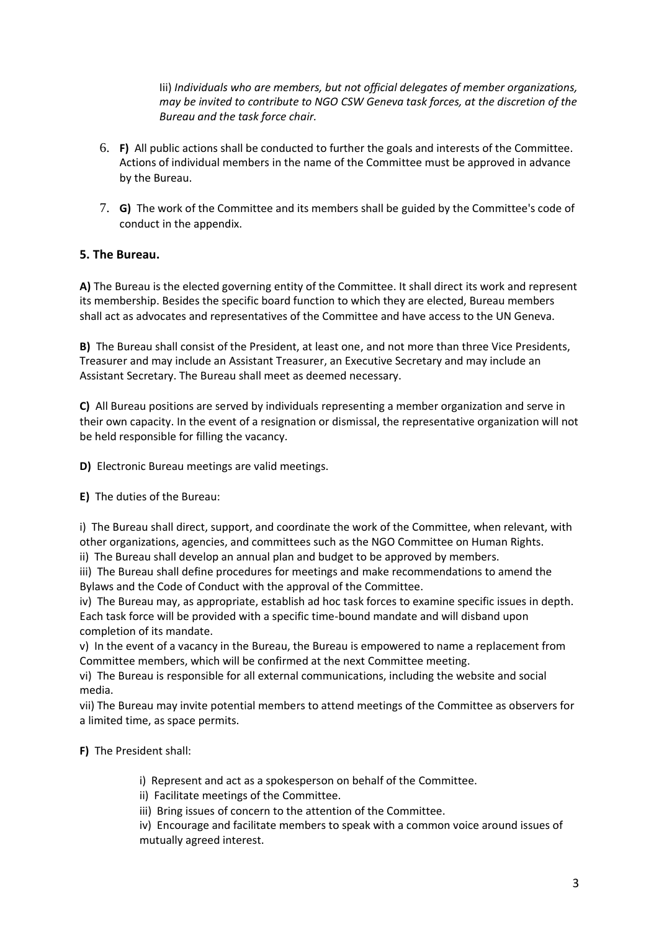Iii) *Individuals who are members, but not official delegates of member organizations, may be invited to contribute to NGO CSW Geneva task forces, at the discretion of the Bureau and the task force chair.*

- 6. **F)** All public actions shall be conducted to further the goals and interests of the Committee. Actions of individual members in the name of the Committee must be approved in advance by the Bureau.
- 7. **G)** The work of the Committee and its members shall be guided by the Committee's code of conduct in the appendix.

### **5. The Bureau.**

**A)** The Bureau is the elected governing entity of the Committee. It shall direct its work and represent its membership. Besides the specific board function to which they are elected, Bureau members shall act as advocates and representatives of the Committee and have access to the UN Geneva.

**B)** The Bureau shall consist of the President, at least one, and not more than three Vice Presidents, Treasurer and may include an Assistant Treasurer, an Executive Secretary and may include an Assistant Secretary. The Bureau shall meet as deemed necessary.

**C)** All Bureau positions are served by individuals representing a member organization and serve in their own capacity. In the event of a resignation or dismissal, the representative organization will not be held responsible for filling the vacancy.

**D)** Electronic Bureau meetings are valid meetings.

**E)** The duties of the Bureau:

i) The Bureau shall direct, support, and coordinate the work of the Committee, when relevant, with other organizations, agencies, and committees such as the NGO Committee on Human Rights.

ii) The Bureau shall develop an annual plan and budget to be approved by members. iii) The Bureau shall define procedures for meetings and make recommendations to amend the

Bylaws and the Code of Conduct with the approval of the Committee.

iv) The Bureau may, as appropriate, establish ad hoc task forces to examine specific issues in depth. Each task force will be provided with a specific time-bound mandate and will disband upon completion of its mandate.

v) In the event of a vacancy in the Bureau, the Bureau is empowered to name a replacement from Committee members, which will be confirmed at the next Committee meeting.

vi) The Bureau is responsible for all external communications, including the website and social media.

vii) The Bureau may invite potential members to attend meetings of the Committee as observers for a limited time, as space permits.

**F)** The President shall:

- i) Represent and act as a spokesperson on behalf of the Committee.
- ii) Facilitate meetings of the Committee.
- iii) Bring issues of concern to the attention of the Committee.

iv) Encourage and facilitate members to speak with a common voice around issues of mutually agreed interest.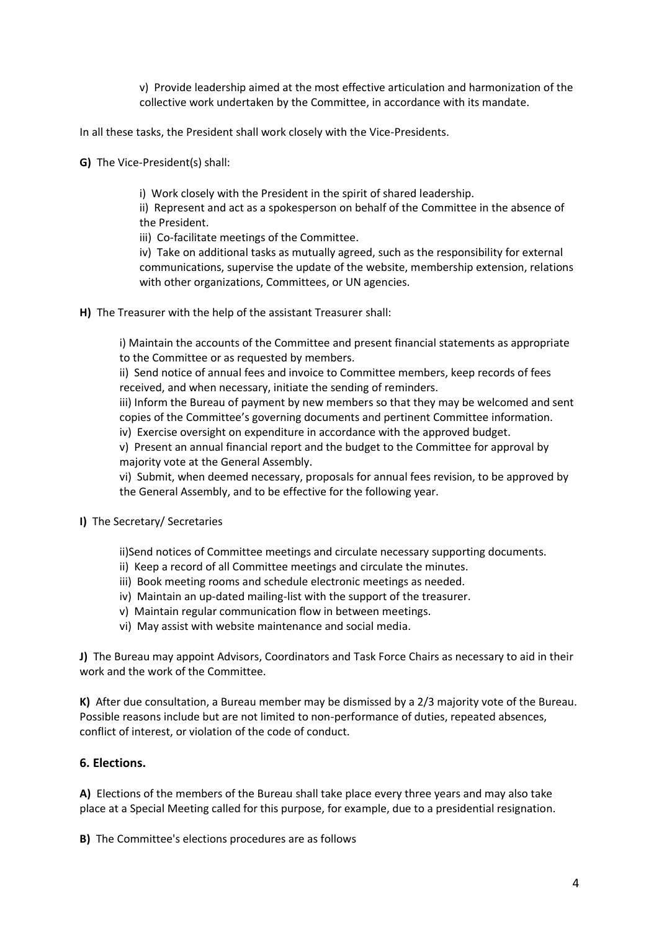v) Provide leadership aimed at the most effective articulation and harmonization of the collective work undertaken by the Committee, in accordance with its mandate.

In all these tasks, the President shall work closely with the Vice-Presidents.

**G)** The Vice-President(s) shall:

i) Work closely with the President in the spirit of shared leadership.

ii) Represent and act as a spokesperson on behalf of the Committee in the absence of the President.

iii) Co-facilitate meetings of the Committee.

iv) Take on additional tasks as mutually agreed, such as the responsibility for external communications, supervise the update of the website, membership extension, relations with other organizations, Committees, or UN agencies.

**H)** The Treasurer with the help of the assistant Treasurer shall:

i) Maintain the accounts of the Committee and present financial statements as appropriate to the Committee or as requested by members.

ii) Send notice of annual fees and invoice to Committee members, keep records of fees received, and when necessary, initiate the sending of reminders.

iii) Inform the Bureau of payment by new members so that they may be welcomed and sent copies of the Committee's governing documents and pertinent Committee information.

iv) Exercise oversight on expenditure in accordance with the approved budget.

v) Present an annual financial report and the budget to the Committee for approval by majority vote at the General Assembly.

vi) Submit, when deemed necessary, proposals for annual fees revision, to be approved by the General Assembly, and to be effective for the following year.

#### **I)** The Secretary/ Secretaries

ii)Send notices of Committee meetings and circulate necessary supporting documents.

- ii) Keep a record of all Committee meetings and circulate the minutes.
- iii) Book meeting rooms and schedule electronic meetings as needed.
- iv) Maintain an up-dated mailing-list with the support of the treasurer.
- v) Maintain regular communication flow in between meetings.
- vi) May assist with website maintenance and social media.

**J)** The Bureau may appoint Advisors, Coordinators and Task Force Chairs as necessary to aid in their work and the work of the Committee.

**K)** After due consultation, a Bureau member may be dismissed by a 2/3 majority vote of the Bureau. Possible reasons include but are not limited to non-performance of duties, repeated absences, conflict of interest, or violation of the code of conduct.

#### **6. Elections.**

**A)** Elections of the members of the Bureau shall take place every three years and may also take place at a Special Meeting called for this purpose, for example, due to a presidential resignation.

**B)** The Committee's elections procedures are as follows